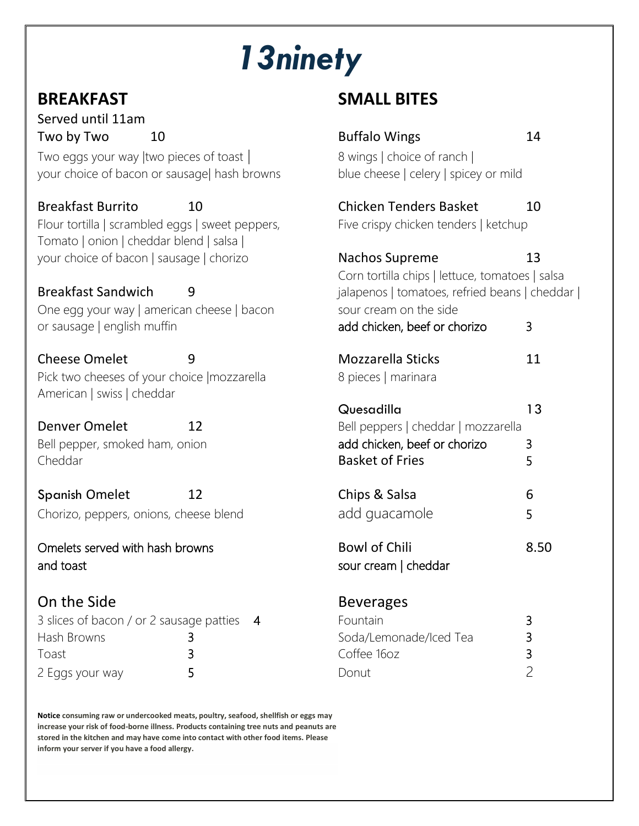# *13ninety*

Served until 11am Two by Two 10

#### Breakfast Sandwich | 9

#### On the Side

| 3 slices of bacon / or 2 sausage patties 4 |  |  | Fountain               |  |
|--------------------------------------------|--|--|------------------------|--|
| Hash Browns                                |  |  | Soda/Lemonade/Iced Tea |  |
| Toast                                      |  |  | Coffee 160z            |  |
| 2 Eggs your way                            |  |  | Donut                  |  |

# **BREAKFAST****SMALL BITES**

| Two by Two                                                                                    | 10 | <b>Buffalo Wings</b>                            | 14   |  |
|-----------------------------------------------------------------------------------------------|----|-------------------------------------------------|------|--|
| Two eggs your way $ $ two pieces of toast $ $<br>your choice of bacon or sausage  hash browns |    | 8 wings   choice of ranch                       |      |  |
|                                                                                               |    | blue cheese   celery   spicey or mild           |      |  |
| <b>Breakfast Burrito</b>                                                                      | 10 | <b>Chicken Tenders Basket</b>                   | 10   |  |
| Flour tortilla   scrambled eggs   sweet peppers,<br>Tomato   onion   cheddar blend   salsa    |    | Five crispy chicken tenders   ketchup           |      |  |
| your choice of bacon   sausage   chorizo                                                      |    | Nachos Supreme                                  | 13   |  |
|                                                                                               |    | Corn tortilla chips   lettuce, tomatoes   salsa |      |  |
| <b>Breakfast Sandwich</b><br>9                                                                |    | jalapenos   tomatoes, refried beans   cheddar   |      |  |
| One egg your way   american cheese   bacon                                                    |    | sour cream on the side                          |      |  |
| or sausage   english muffin                                                                   |    | add chicken, beef or chorizo                    | 3    |  |
| <b>Cheese Omelet</b>                                                                          | 9  | Mozzarella Sticks                               | 11   |  |
| Pick two cheeses of your choice   mozzarella                                                  |    | 8 pieces   marinara                             |      |  |
| American   swiss   cheddar                                                                    |    |                                                 |      |  |
|                                                                                               |    | Quesadilla                                      | 13   |  |
| <b>Denver Omelet</b>                                                                          | 12 | Bell peppers   cheddar   mozzarella             |      |  |
| Bell pepper, smoked ham, onion                                                                |    | add chicken, beef or chorizo                    | 3    |  |
| Cheddar                                                                                       |    | <b>Basket of Fries</b>                          | 5    |  |
| <b>Spanish Omelet</b>                                                                         | 12 | Chips & Salsa                                   | 6    |  |
| Chorizo, peppers, onions, cheese blend                                                        |    | add guacamole                                   | 5    |  |
| Omelets served with hash browns                                                               |    | <b>Bowl of Chili</b>                            | 8.50 |  |
| and toast                                                                                     |    | sour cream   cheddar                            |      |  |
| On the Side                                                                                   |    | <b>Beverages</b>                                |      |  |
| 3 slices of bacon / or 2 sausage patties<br>$\overline{4}$                                    |    | Fountain                                        | 3    |  |
| Hash Browns                                                                                   | 3  | Soda/Lemonade/Iced Tea                          | 3    |  |
| Toast                                                                                         | 3  | Coffee 16oz                                     | 3    |  |

**Notice consuming raw or undercooked meats, poultry, seafood, shellfish or eggs may increase your risk of food-borne illness. Products containing tree nuts and peanuts are stored in the kitchen and may have come into contact with other food items. Please inform your server if you have a food allergy.**